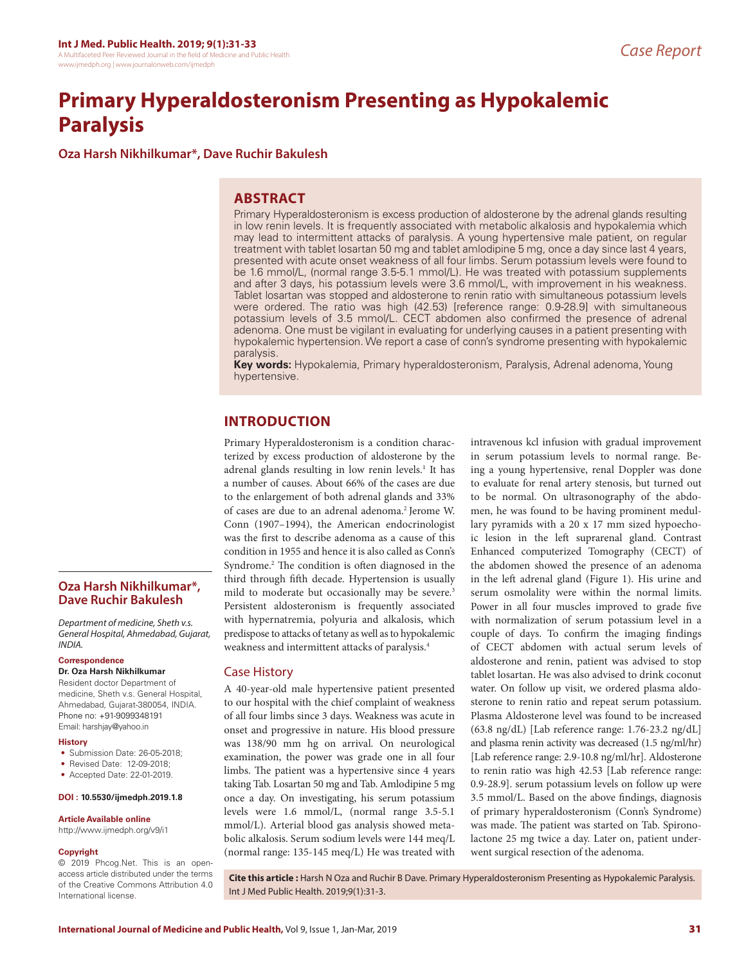# **Primary Hyperaldosteronism Presenting as Hypokalemic Paralysis**

**Oza Harsh Nikhilkumar\*, Dave Ruchir Bakulesh**

## **ABSTRACT**

Primary Hyperaldosteronism is excess production of aldosterone by the adrenal glands resulting in low renin levels. It is frequently associated with metabolic alkalosis and hypokalemia which may lead to intermittent attacks of paralysis. A young hypertensive male patient, on regular treatment with tablet losartan 50 mg and tablet amlodipine 5 mg, once a day since last 4 years, presented with acute onset weakness of all four limbs. Serum potassium levels were found to be 1.6 mmol/L, (normal range 3.5-5.1 mmol/L). He was treated with potassium supplements and after 3 days, his potassium levels were 3.6 mmol/L, with improvement in his weakness. Tablet losartan was stopped and aldosterone to renin ratio with simultaneous potassium levels were ordered. The ratio was high (42.53) [reference range: 0.9-28.9] with simultaneous potassium levels of 3.5 mmol/L. CECT abdomen also confirmed the presence of adrenal adenoma. One must be vigilant in evaluating for underlying causes in a patient presenting with hypokalemic hypertension. We report a case of conn's syndrome presenting with hypokalemic paralysis.

**Key words:** Hypokalemia, Primary hyperaldosteronism, Paralysis, Adrenal adenoma, Young hypertensive.

# **INTRODUCTION**

Primary Hyperaldosteronism is a condition characterized by excess production of aldosterone by the adrenal glands resulting in low renin levels.<sup>1</sup> It has a number of causes. About 66% of the cases are due to the enlargement of both adrenal glands and 33% of cases are due to an adrenal adenoma.2 Jerome W. Conn (1907–1994), the American endocrinologist was the first to describe adenoma as a cause of this condition in 1955 and hence it is also called as Conn's Syndrome.2 The condition is often diagnosed in the third through fifth decade. Hypertension is usually mild to moderate but occasionally may be severe.<sup>3</sup> Persistent aldosteronism is frequently associated with hypernatremia, polyuria and alkalosis, which predispose to attacks of tetany as well as to hypokalemic weakness and intermittent attacks of paralysis.4

## Case History

A 40-year-old male hypertensive patient presented to our hospital with the chief complaint of weakness of all four limbs since 3 days. Weakness was acute in onset and progressive in nature. His blood pressure was 138/90 mm hg on arrival. On neurological examination, the power was grade one in all four limbs. The patient was a hypertensive since 4 years taking Tab. Losartan 50 mg and Tab. Amlodipine 5 mg once a day. On investigating, his serum potassium levels were 1.6 mmol/L, (normal range 3.5-5.1 mmol/L). Arterial blood gas analysis showed metabolic alkalosis. Serum sodium levels were 144 meq/L (normal range: 135-145 meq/L) He was treated with

intravenous kcl infusion with gradual improvement in serum potassium levels to normal range. Being a young hypertensive, renal Doppler was done to evaluate for renal artery stenosis, but turned out to be normal. On ultrasonography of the abdomen, he was found to be having prominent medullary pyramids with a 20 x 17 mm sized hypoechoic lesion in the left suprarenal gland. Contrast Enhanced computerized Tomography (CECT) of the abdomen showed the presence of an adenoma in the left adrenal gland (Figure 1). His urine and serum osmolality were within the normal limits. Power in all four muscles improved to grade five with normalization of serum potassium level in a couple of days. To confirm the imaging findings of CECT abdomen with actual serum levels of aldosterone and renin, patient was advised to stop tablet losartan. He was also advised to drink coconut water. On follow up visit, we ordered plasma aldosterone to renin ratio and repeat serum potassium. Plasma Aldosterone level was found to be increased (63.8 ng/dL) [Lab reference range: 1.76-23.2 ng/dL] and plasma renin activity was decreased (1.5 ng/ml/hr) [Lab reference range: 2.9-10.8 ng/ml/hr]. Aldosterone to renin ratio was high 42.53 [Lab reference range: 0.9-28.9]. serum potassium levels on follow up were 3.5 mmol/L. Based on the above findings, diagnosis of primary hyperaldosteronism (Conn's Syndrome) was made. The patient was started on Tab. Spironolactone 25 mg twice a day. Later on, patient underwent surgical resection of the adenoma.

**Oza Harsh Nikhilkumar\*, Dave Ruchir Bakulesh**

*Department of medicine, Sheth v.s. General Hospital, Ahmedabad, Gujarat, INDIA.*

## **Correspondence**

#### **Dr. Oza Harsh Nikhilkumar**

Resident doctor Department of medicine, Sheth v.s. General Hospital, Ahmedabad, Gujarat-380054, INDIA. Phone no: +91-9099348191 Email: harshjay@yahoo.in

#### **History**

- Submission Date: 26-05-2018;
- Revised Date: 12-09-2018;
- Accepted Date: 22-01-2019.

#### **DOI : 10.5530/ijmedph.2019.1.8**

#### **Article Available online**

http://www.ijmedph.org/v9/i1

#### **Copyright**

© 2019 Phcog.Net. This is an openaccess article distributed under the terms of the Creative Commons Attribution 4.0 International license.

**Cite this article :** Harsh N Oza and Ruchir B Dave. Primary Hyperaldosteronism Presenting as Hypokalemic Paralysis. Int J Med Public Health. 2019;9(1):31-3.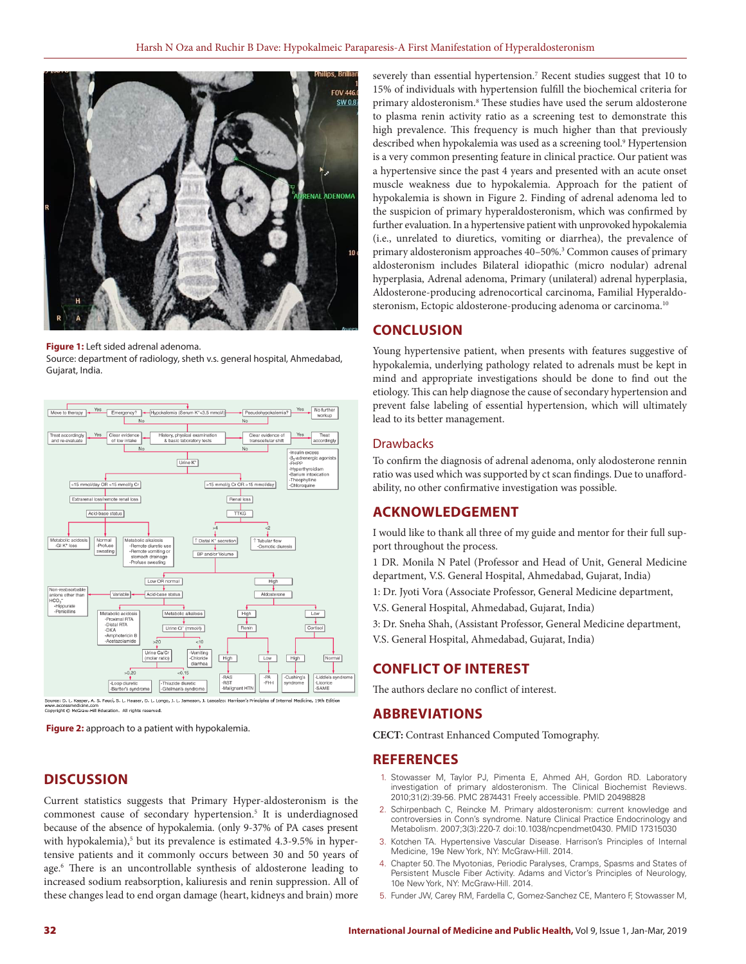

**Figure 1:** Left sided adrenal adenoma.

Source: department of radiology, sheth v.s. general hospital, Ahmedabad, Gujarat, India.



www.accessmedicine.com<br>Copyright © McGraw-Hill Education. All rights reserved.

**Figure 2:** approach to a patient with hypokalemia.

## **DISCUSSION**

Current statistics suggests that Primary Hyper-aldosteronism is the commonest cause of secondary hypertension.<sup>5</sup> It is underdiagnosed because of the absence of hypokalemia. (only 9-37% of PA cases present with hypokalemia),<sup>5</sup> but its prevalence is estimated 4.3-9.5% in hypertensive patients and it commonly occurs between 30 and 50 years of age.6 There is an uncontrollable synthesis of aldosterone leading to increased sodium reabsorption, kaliuresis and renin suppression. All of these changes lead to end organ damage (heart, kidneys and brain) more

severely than essential hypertension.<sup>7</sup> Recent studies suggest that 10 to 15% of individuals with hypertension fulfill the biochemical criteria for primary aldosteronism.8 These studies have used the serum aldosterone to plasma renin activity ratio as a screening test to demonstrate this high prevalence. This frequency is much higher than that previously described when hypokalemia was used as a screening tool.9 Hypertension is a very common presenting feature in clinical practice. Our patient was a hypertensive since the past 4 years and presented with an acute onset muscle weakness due to hypokalemia. Approach for the patient of hypokalemia is shown in Figure 2. Finding of adrenal adenoma led to the suspicion of primary hyperaldosteronism, which was confirmed by further evaluation. In a hypertensive patient with unprovoked hypokalemia (i.e., unrelated to diuretics, vomiting or diarrhea), the prevalence of primary aldosteronism approaches 40–50%.3 Common causes of primary aldosteronism includes Bilateral idiopathic (micro nodular) adrenal hyperplasia, Adrenal adenoma, Primary (unilateral) adrenal hyperplasia, Aldosterone-producing adrenocortical carcinoma, Familial Hyperaldosteronism, Ectopic aldosterone-producing adenoma or carcinoma.<sup>10</sup>

## **CONCLUSION**

Young hypertensive patient, when presents with features suggestive of hypokalemia, underlying pathology related to adrenals must be kept in mind and appropriate investigations should be done to find out the etiology. This can help diagnose the cause of secondary hypertension and prevent false labeling of essential hypertension, which will ultimately lead to its better management.

## **Drawbacks**

To confirm the diagnosis of adrenal adenoma, only alodosterone rennin ratio was used which was supported by ct scan findings. Due to unaffordability, no other confirmative investigation was possible.

## **ACKNOWLEDGEMENT**

I would like to thank all three of my guide and mentor for their full support throughout the process.

1 DR. Monila N Patel (Professor and Head of Unit, General Medicine department, V.S. General Hospital, Ahmedabad, Gujarat, India)

1: Dr. Jyoti Vora (Associate Professor, General Medicine department,

V.S. General Hospital, Ahmedabad, Gujarat, India)

3: Dr. Sneha Shah, (Assistant Professor, General Medicine department,

V.S. General Hospital, Ahmedabad, Gujarat, India)

## **CONFLICT OF INTEREST**

The authors declare no conflict of interest.

## **ABBREVIATIONS**

**CECT:** Contrast Enhanced Computed Tomography.

## **REFERENCES**

- 1. Stowasser M, Taylor PJ, Pimenta E, Ahmed AH, Gordon RD. Laboratory investigation of primary aldosteronism. The Clinical Biochemist Reviews. 2010;31(2):39-56. PMC 2874431 Freely accessible. PMID 20498828
- 2. Schirpenbach C, Reincke M. Primary aldosteronism: current knowledge and controversies in Conn's syndrome. Nature Clinical Practice Endocrinology and Metabolism. 2007;3(3):220-7. doi:10.1038/ncpendmet0430. PMID 17315030
- 3. Kotchen TA. Hypertensive Vascular Disease. Harrison's Principles of Internal Medicine, 19e New York, NY: McGraw-Hill. 2014.
- 4. Chapter 50. The Myotonias, Periodic Paralyses, Cramps, Spasms and States of Persistent Muscle Fiber Activity. Adams and Victor's Principles of Neurology, 10e New York, NY: McGraw-Hill. 2014.
- 5. Funder JW, Carey RM, Fardella C, Gomez-Sanchez CE, Mantero F, Stowasser M,